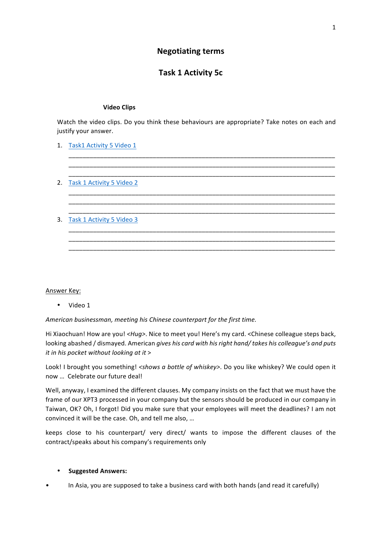## **Negotiating terms**

# **Task 1 Activity 5c**

#### **Video Clips**

Watch the video clips. Do you think these behaviours are appropriate? Take notes on each and justify your answer.

\_\_\_\_\_\_\_\_\_\_\_\_\_\_\_\_\_\_\_\_\_\_\_\_\_\_\_\_\_\_\_\_\_\_\_\_\_\_\_\_\_\_\_\_\_\_\_\_\_\_\_\_\_\_\_\_\_\_\_\_\_\_\_\_\_\_\_\_\_\_\_\_\_\_\_\_ \_\_\_\_\_\_\_\_\_\_\_\_\_\_\_\_\_\_\_\_\_\_\_\_\_\_\_\_\_\_\_\_\_\_\_\_\_\_\_\_\_\_\_\_\_\_\_\_\_\_\_\_\_\_\_\_\_\_\_\_\_\_\_\_\_\_\_\_\_\_\_\_\_\_\_\_ \_\_\_\_\_\_\_\_\_\_\_\_\_\_\_\_\_\_\_\_\_\_\_\_\_\_\_\_\_\_\_\_\_\_\_\_\_\_\_\_\_\_\_\_\_\_\_\_\_\_\_\_\_\_\_\_\_\_\_\_\_\_\_\_\_\_\_\_\_\_\_\_\_\_\_\_

\_\_\_\_\_\_\_\_\_\_\_\_\_\_\_\_\_\_\_\_\_\_\_\_\_\_\_\_\_\_\_\_\_\_\_\_\_\_\_\_\_\_\_\_\_\_\_\_\_\_\_\_\_\_\_\_\_\_\_\_\_\_\_\_\_\_\_\_\_\_\_\_\_\_\_\_ \_\_\_\_\_\_\_\_\_\_\_\_\_\_\_\_\_\_\_\_\_\_\_\_\_\_\_\_\_\_\_\_\_\_\_\_\_\_\_\_\_\_\_\_\_\_\_\_\_\_\_\_\_\_\_\_\_\_\_\_\_\_\_\_\_\_\_\_\_\_\_\_\_\_\_\_ \_\_\_\_\_\_\_\_\_\_\_\_\_\_\_\_\_\_\_\_\_\_\_\_\_\_\_\_\_\_\_\_\_\_\_\_\_\_\_\_\_\_\_\_\_\_\_\_\_\_\_\_\_\_\_\_\_\_\_\_\_\_\_\_\_\_\_\_\_\_\_\_\_\_\_\_

\_\_\_\_\_\_\_\_\_\_\_\_\_\_\_\_\_\_\_\_\_\_\_\_\_\_\_\_\_\_\_\_\_\_\_\_\_\_\_\_\_\_\_\_\_\_\_\_\_\_\_\_\_\_\_\_\_\_\_\_\_\_\_\_\_\_\_\_\_\_\_\_\_\_\_\_ \_\_\_\_\_\_\_\_\_\_\_\_\_\_\_\_\_\_\_\_\_\_\_\_\_\_\_\_\_\_\_\_\_\_\_\_\_\_\_\_\_\_\_\_\_\_\_\_\_\_\_\_\_\_\_\_\_\_\_\_\_\_\_\_\_\_\_\_\_\_\_\_\_\_\_\_ \_\_\_\_\_\_\_\_\_\_\_\_\_\_\_\_\_\_\_\_\_\_\_\_\_\_\_\_\_\_\_\_\_\_\_\_\_\_\_\_\_\_\_\_\_\_\_\_\_\_\_\_\_\_\_\_\_\_\_\_\_\_\_\_\_\_\_\_\_\_\_\_\_\_\_\_

- 1. Task1 Activity 5 Video 1
- 2. Task 1 Activity 5 Video 2
- 3. Task 1 Activity 5 Video 3

#### Answer Key:

• Video 1

American businessman, meeting his Chinese counterpart for the first time.

Hi Xiaochuan! How are you! <*Hug>*. Nice to meet you! Here's my card. < Chinese colleague steps back, looking abashed / dismayed. American *gives his card with his right hand/ takes his colleague's and puts it in his pocket without looking at it* >

Look! I brought you something! <shows *a* bottle of whiskey>. Do you like whiskey? We could open it now ... Celebrate our future deal!

Well, anyway, I examined the different clauses. My company insists on the fact that we must have the frame of our XPT3 processed in your company but the sensors should be produced in our company in Taiwan, OK? Oh, I forgot! Did you make sure that your employees will meet the deadlines? I am not convinced it will be the case. Oh, and tell me also, ...

keeps close to his counterpart/ very direct/ wants to impose the different clauses of the contract/speaks about his company's requirements only

#### • **Suggested Answers:**

In Asia, you are supposed to take a business card with both hands (and read it carefully)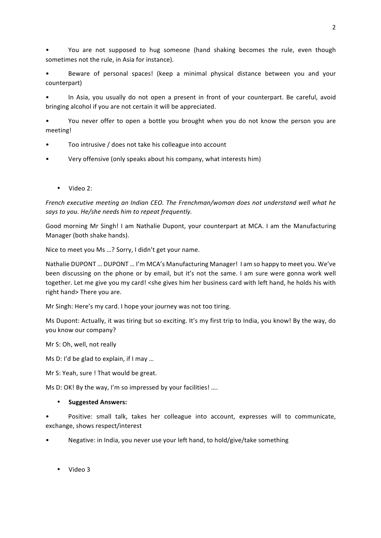You are not supposed to hug someone (hand shaking becomes the rule, even though sometimes not the rule, in Asia for instance).

Beware of personal spaces! (keep a minimal physical distance between you and your counterpart)

In Asia, you usually do not open a present in front of your counterpart. Be careful, avoid bringing alcohol if you are not certain it will be appreciated.

• You never offer to open a bottle you brought when you do not know the person you are meeting!

- Too intrusive / does not take his colleague into account
- Very offensive (only speaks about his company, what interests him)
	- Video 2:

*French executive meeting an Indian CEO. The Frenchman/woman does not understand well what he says to you.* He/she needs him to repeat frequently.

Good morning Mr Singh! I am Nathalie Dupont, your counterpart at MCA. I am the Manufacturing Manager (both shake hands).

Nice to meet you Ms ...? Sorry, I didn't get your name.

Nathalie DUPONT ... DUPONT ... I'm MCA's Manufacturing Manager! I am so happy to meet you. We've been discussing on the phone or by email, but it's not the same. I am sure were gonna work well together. Let me give you my card! <she gives him her business card with left hand, he holds his with right hand> There you are.

Mr Singh: Here's my card. I hope your journey was not too tiring.

Ms Dupont: Actually, it was tiring but so exciting. It's my first trip to India, you know! By the way, do you know our company?

Mr S: Oh, well, not really

Ms D: I'd be glad to explain, if I may ...

Mr S: Yeah, sure ! That would be great.

Ms D: OK! By the way, I'm so impressed by your facilities! ....

## • **Suggested Answers:**

Positive: small talk, takes her colleague into account, expresses will to communicate, exchange, shows respect/interest

Negative: in India, you never use your left hand, to hold/give/take something

• Video 3